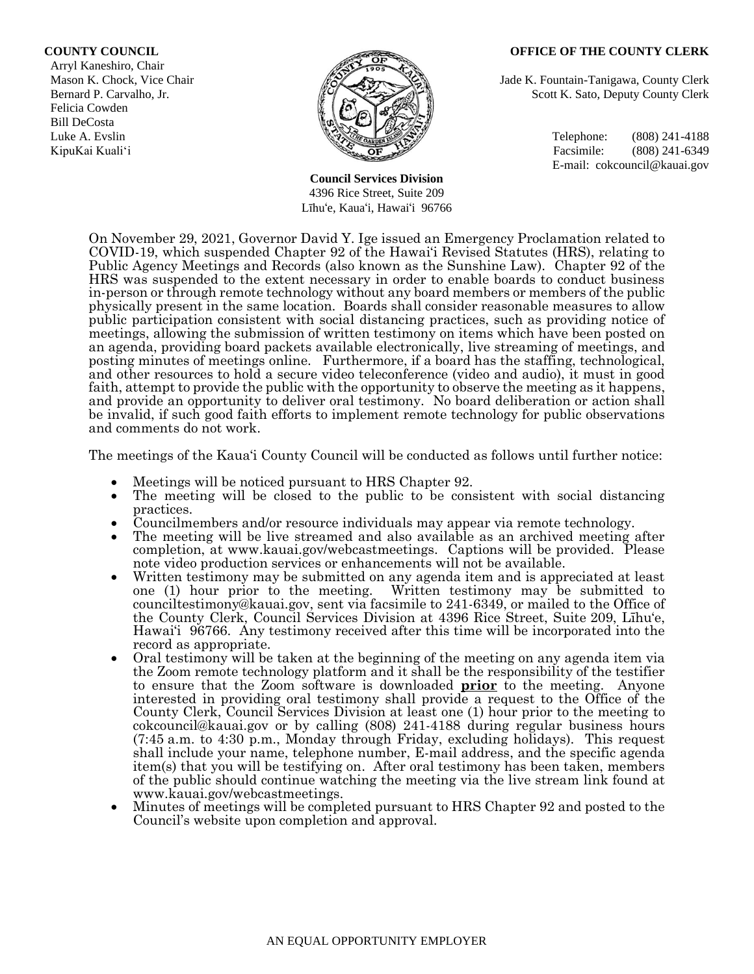Arryl Kaneshiro, Chair Felicia Cowden Bill DeCosta



**Council Services Division** 4396 Rice Street, Suite 209 Līhu'e, Kaua'i, Hawai'i 96766

#### **COUNTY COUNCIL OFFICE OF THE COUNTY CLERK**

Mason K. Chock, Vice Chair Jade K. Fountain-Tanigawa, County Clerk Bernard P. Carvalho, Jr. Scott K. Sato, Deputy County Clerk

Luke A. Evslin  $\mathbb{R}^n$  Telephone: (808) 241-4188 KipuKai Kuali'i Facsimile: (808) 241-6349 E-mail: cokcouncil@kauai.gov

On November 29, 2021, Governor David Y. Ige issued an Emergency Proclamation related to COVID-19, which suspended Chapter 92 of the Hawai'i Revised Statutes (HRS), relating to Public Agency Meetings and Records (also known as the Sunshine Law). Chapter 92 of the HRS was suspended to the extent necessary in order to enable boards to conduct business in-person or through remote technology without any board members or members of the public physically present in the same location. Boards shall consider reasonable measures to allow public participation consistent with social distancing practices, such as providing notice of meetings, allowing the submission of written testimony on items which have been posted on an agenda, providing board packets available electronically, live streaming of meetings, and posting minutes of meetings online. Furthermore, if a board has the staffing, technological, and other resources to hold a secure video teleconference (video and audio), it must in good faith, attempt to provide the public with the opportunity to observe the meeting as it happens, and provide an opportunity to deliver oral testimony. No board deliberation or action shall be invalid, if such good faith efforts to implement remote technology for public observations and comments do not work.

The meetings of the Kaua'i County Council will be conducted as follows until further notice:

- Meetings will be noticed pursuant to HRS Chapter 92.
- The meeting will be closed to the public to be consistent with social distancing practices.
- Councilmembers and/or resource individuals may appear via remote technology.
- The meeting will be live streamed and also available as an archived meeting after completion, at www.kauai.gov/webcastmeetings. Captions will be provided. Please note video production services or enhancements will not be available.
- Written testimony may be submitted on any agenda item and is appreciated at least one (1) hour prior to the meeting. Written testimony may be submitted to counciltestimony@kauai.gov, sent via facsimile to 241-6349, or mailed to the Office of the County Clerk, Council Services Division at 4396 Rice Street, Suite 209, Līhu'e, Hawai'i 96766. Any testimony received after this time will be incorporated into the record as appropriate.
- Oral testimony will be taken at the beginning of the meeting on any agenda item via the Zoom remote technology platform and it shall be the responsibility of the testifier to ensure that the Zoom software is downloaded **prior** to the meeting. Anyone interested in providing oral testimony shall provide a request to the Office of the County Clerk, Council Services Division at least one (1) hour prior to the meeting to cokcouncil@kauai.gov or by calling (808) 241-4188 during regular business hours (7:45 a.m. to 4:30 p.m., Monday through Friday, excluding holidays). This request shall include your name, telephone number, E-mail address, and the specific agenda item(s) that you will be testifying on. After oral testimony has been taken, members of the public should continue watching the meeting via the live stream link found at www.kauai.gov/webcastmeetings.
- Minutes of meetings will be completed pursuant to HRS Chapter 92 and posted to the Council's website upon completion and approval.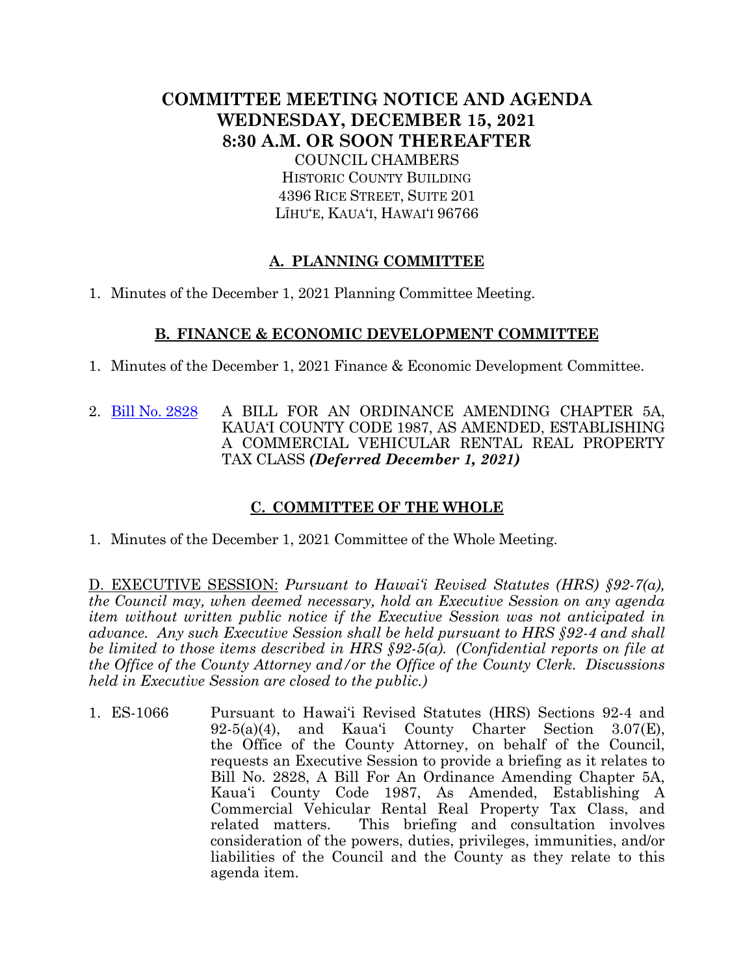# **COMMITTEE MEETING NOTICE AND AGENDA WEDNESDAY, DECEMBER 15, 2021 8:30 A.M. OR SOON THEREAFTER**

COUNCIL CHAMBERS HISTORIC COUNTY BUILDING 4396 RICE STREET, SUITE 201 LĪHU'E, KAUA'I, HAWAI'I 96766

## **A. PLANNING COMMITTEE**

1. Minutes of the December 1, 2021 Planning Committee Meeting.

#### **B. FINANCE & ECONOMIC DEVELOPMENT COMMITTEE**

- 1. Minutes of the December 1, 2021 Finance & Economic Development Committee.
- 2. [Bill No. 2828](https://kauai.granicus.com/MetaViewer.php?view_id=&event_id=994&meta_id=155248) A BILL FOR AN ORDINANCE AMENDING CHAPTER 5A, KAUA'I COUNTY CODE 1987, AS AMENDED, ESTABLISHING A COMMERCIAL VEHICULAR RENTAL REAL PROPERTY TAX CLASS *(Deferred December 1, 2021)*

### **C. COMMITTEE OF THE WHOLE**

1. Minutes of the December 1, 2021 Committee of the Whole Meeting.

D. EXECUTIVE SESSION: *Pursuant to Hawai'i Revised Statutes (HRS) §92-7(a), the Council may, when deemed necessary, hold an Executive Session on any agenda item without written public notice if the Executive Session was not anticipated in advance. Any such Executive Session shall be held pursuant to HRS §92-4 and shall be limited to those items described in HRS §92-5(a). (Confidential reports on file at the Office of the County Attorney and/or the Office of the County Clerk. Discussions held in Executive Session are closed to the public.)*

1. ES-1066 Pursuant to Hawai'i Revised Statutes (HRS) Sections 92-4 and 92-5(a)(4), and Kaua'i County Charter Section 3.07(E), the Office of the County Attorney, on behalf of the Council, requests an Executive Session to provide a briefing as it relates to Bill No. 2828, A Bill For An Ordinance Amending Chapter 5A, Kaua'i County Code 1987, As Amended, Establishing A Commercial Vehicular Rental Real Property Tax Class, and related matters. This briefing and consultation involves consideration of the powers, duties, privileges, immunities, and/or liabilities of the Council and the County as they relate to this agenda item.